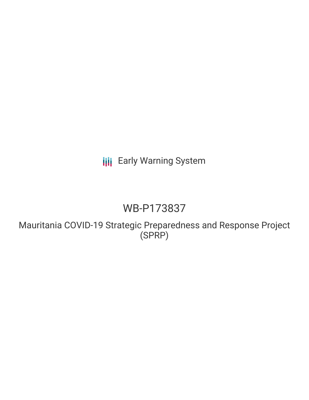# **III** Early Warning System

# WB-P173837

Mauritania COVID-19 Strategic Preparedness and Response Project (SPRP)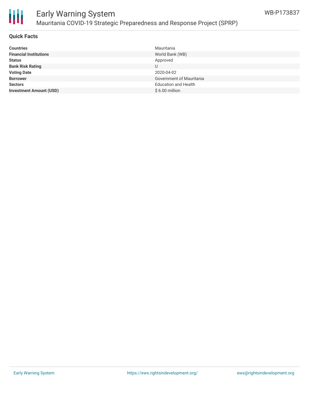

# Early Warning System Mauritania COVID-19 Strategic Preparedness and Response Project (SPRP)

# **Quick Facts**

| <b>Countries</b>               | Mauritania                      |
|--------------------------------|---------------------------------|
| <b>Financial Institutions</b>  | World Bank (WB)                 |
| <b>Status</b>                  | Approved                        |
| <b>Bank Risk Rating</b>        |                                 |
| <b>Voting Date</b>             | 2020-04-02                      |
| <b>Borrower</b>                | <b>Government of Mauritania</b> |
| <b>Sectors</b>                 | <b>Education and Health</b>     |
| <b>Investment Amount (USD)</b> | $$6.00$ million                 |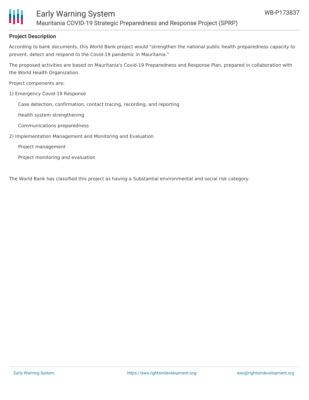

# **Project Description**

According to bank documents, this World Bank project would "strengthen the national public health preparedness capacity to prevent, detect and respond to the Covid-19 pandemic in Mauritania."

The proposed activities are based on Mauritania's Covid-19 Preparedness and Response Plan, prepared in collaboration with the World Health Organization.

Project components are:

1) Emergency Covid-19 Response

Case detection, confirmation, contact tracing, recording, and reporting

Health system strengthening

Communications preparedness

2) Implementation Management and Monitoring and Evaluation

Project management

Project monitoring and evaluation

The World Bank has classified this project as having a Substantial environmental and social risk category.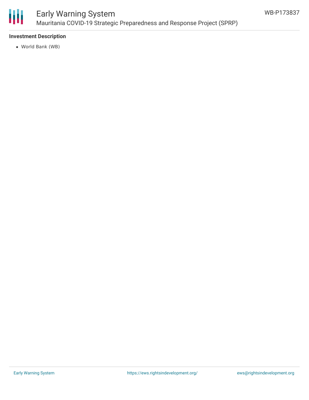

# **Investment Description**

World Bank (WB)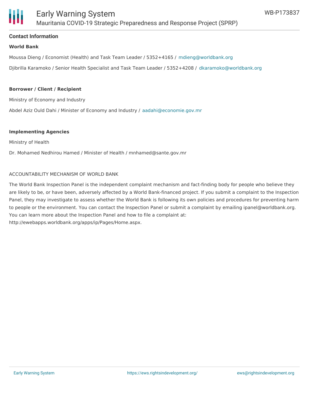

## **Contact Information**

### **World Bank**

Moussa Dieng / Economist (Health) and Task Team Leader / 5352+4165 / [mdieng@worldbank.org](mailto:mdieng@worldbank.org)

Djibrilla Karamoko / Senior Health Specialist and Task Team Leader / 5352+4208 / [dkaramoko@worldbank.org](mailto:dkaramoko@worldbank.org)

#### **Borrower / Client / Recipient**

Ministry of Economy and Industry

Abdel Aziz Ould Dahi / Minister of Economy and Industry / [aadahi@economie.gov.mr](mailto:aadahi@economie.gov.mr)

#### **Implementing Agencies**

Ministry of Health

Dr. Mohamed Nedhirou Hamed / Minister of Health / mnhamed@sante.gov.mr

#### ACCOUNTABILITY MECHANISM OF WORLD BANK

The World Bank Inspection Panel is the independent complaint mechanism and fact-finding body for people who believe they are likely to be, or have been, adversely affected by a World Bank-financed project. If you submit a complaint to the Inspection Panel, they may investigate to assess whether the World Bank is following its own policies and procedures for preventing harm to people or the environment. You can contact the Inspection Panel or submit a complaint by emailing ipanel@worldbank.org. You can learn more about the Inspection Panel and how to file a complaint at: http://ewebapps.worldbank.org/apps/ip/Pages/Home.aspx.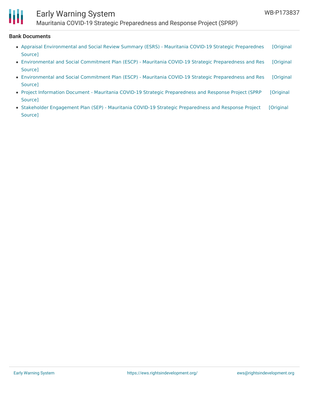

# Early Warning System

Mauritania COVID-19 Strategic Preparedness and Response Project (SPRP)

### **Bank Documents**

- Appraisal [Environmental](https://ewsdata.rightsindevelopment.org/files/documents/37/WB-P173837.pdf) and Social Review Summary (ESRS) Mauritania COVID-19 Strategic Preparednes [Original Source]
- [Environmental](https://ewsdata.rightsindevelopment.org/files/documents/37/WB-P173837_iSNl9g1.pdf) and Social Commitment Plan (ESCP) Mauritania COVID-19 Strategic Preparedness and Res [Original Source]
- [Environmental](https://ewsdata.rightsindevelopment.org/files/documents/37/WB-P173837_dGMKVhE.pdf) and Social Commitment Plan (ESCP) Mauritania COVID-19 Strategic Preparedness and Res [Original Source]
- Project Information Document Mauritania COVID-19 Strategic [Preparedness](https://ewsdata.rightsindevelopment.org/files/documents/37/WB-P173837_5H31NSf.pdf) and Response Project (SPRP [Original Source]
- Stakeholder Engagement Plan (SEP) Mauritania COVID-19 Strategic [Preparedness](https://ewsdata.rightsindevelopment.org/files/documents/37/WB-P173837_jXaP58Y.pdf) and Response Project [Original Source]